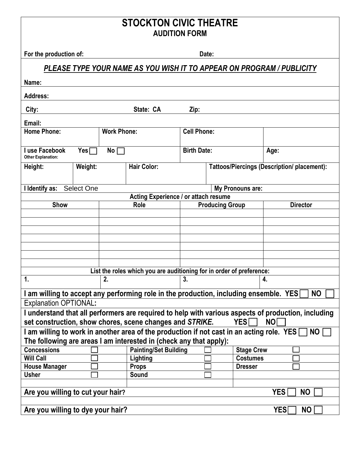## **STOCKTON CIVIC THEATRE AUDITION FORM**

**For the production of: Date:** 

## *PLEASE TYPE YOUR NAME AS YOU WISH IT TO APPEAR ON PROGRAM / PUBLICITY*

| Name:                                                                                                                                                                                      |                     |                    |                    |                        |                   |                                                    |  |  |  |  |
|--------------------------------------------------------------------------------------------------------------------------------------------------------------------------------------------|---------------------|--------------------|--------------------|------------------------|-------------------|----------------------------------------------------|--|--|--|--|
| <b>Address:</b>                                                                                                                                                                            |                     |                    |                    |                        |                   |                                                    |  |  |  |  |
| City:<br>State: CA<br>Zip:                                                                                                                                                                 |                     |                    |                    |                        |                   |                                                    |  |  |  |  |
| Email:                                                                                                                                                                                     |                     |                    |                    |                        |                   |                                                    |  |  |  |  |
| <b>Home Phone:</b><br><b>Work Phone:</b>                                                                                                                                                   |                     |                    | <b>Cell Phone:</b> |                        |                   |                                                    |  |  |  |  |
| I use Facebook<br>$Yes \Box$<br><b>Other Explanation:</b>                                                                                                                                  | $No \ \blacksquare$ |                    | <b>Birth Date:</b> |                        |                   | Age:                                               |  |  |  |  |
| Weight:<br>Height:                                                                                                                                                                         |                     | <b>Hair Color:</b> |                    |                        |                   | <b>Tattoos/Piercings (Description/ placement):</b> |  |  |  |  |
| I Identify as:<br><b>Select One</b>                                                                                                                                                        |                     |                    | My Pronouns are:   |                        |                   |                                                    |  |  |  |  |
| Acting Experience / or attach resume                                                                                                                                                       |                     |                    |                    |                        |                   |                                                    |  |  |  |  |
| Show                                                                                                                                                                                       |                     | Role               |                    | <b>Producing Group</b> |                   | <b>Director</b>                                    |  |  |  |  |
|                                                                                                                                                                                            |                     |                    |                    |                        |                   |                                                    |  |  |  |  |
|                                                                                                                                                                                            |                     |                    |                    |                        |                   |                                                    |  |  |  |  |
|                                                                                                                                                                                            |                     |                    |                    |                        |                   |                                                    |  |  |  |  |
|                                                                                                                                                                                            |                     |                    |                    |                        |                   |                                                    |  |  |  |  |
|                                                                                                                                                                                            |                     |                    |                    |                        |                   |                                                    |  |  |  |  |
|                                                                                                                                                                                            |                     |                    |                    |                        |                   |                                                    |  |  |  |  |
| List the roles which you are auditioning for in order of preference:                                                                                                                       |                     |                    |                    |                        |                   |                                                    |  |  |  |  |
| 1.<br>2.                                                                                                                                                                                   |                     | 3.                 |                    |                        | 4.                |                                                    |  |  |  |  |
| I am willing to accept any performing role in the production, including ensemble. YES                                                                                                      |                     |                    |                    |                        |                   | <b>NO</b>                                          |  |  |  |  |
| <b>Explanation OPTIONAL:</b>                                                                                                                                                               |                     |                    |                    |                        |                   |                                                    |  |  |  |  |
|                                                                                                                                                                                            |                     |                    |                    |                        |                   |                                                    |  |  |  |  |
| I understand that all performers are required to help with various aspects of production, including<br>set construction, show chores, scene changes and STRIKE.<br><b>NO</b><br><b>YES</b> |                     |                    |                    |                        |                   |                                                    |  |  |  |  |
| I am willing to work in another area of the production if not cast in an acting role. YES<br>NO                                                                                            |                     |                    |                    |                        |                   |                                                    |  |  |  |  |
| The following are areas I am interested in (check any that apply):                                                                                                                         |                     |                    |                    |                        |                   |                                                    |  |  |  |  |
| <b>Painting/Set Building</b><br><b>Concessions</b>                                                                                                                                         |                     |                    |                    |                        | <b>Stage Crew</b> |                                                    |  |  |  |  |
| <b>Will Call</b>                                                                                                                                                                           | Lighting            |                    |                    |                        | <b>Costumes</b>   |                                                    |  |  |  |  |
| <b>House Manager</b>                                                                                                                                                                       | <b>Props</b>        |                    | <b>Dresser</b>     |                        |                   |                                                    |  |  |  |  |
| <b>Usher</b>                                                                                                                                                                               | <b>Sound</b>        |                    |                    |                        |                   |                                                    |  |  |  |  |
|                                                                                                                                                                                            |                     |                    |                    |                        |                   |                                                    |  |  |  |  |
| Are you willing to cut your hair?<br><b>YES</b><br><b>NO</b>                                                                                                                               |                     |                    |                    |                        |                   |                                                    |  |  |  |  |
| Are you willing to dye your hair?<br><b>YES</b><br><b>NO</b>                                                                                                                               |                     |                    |                    |                        |                   |                                                    |  |  |  |  |